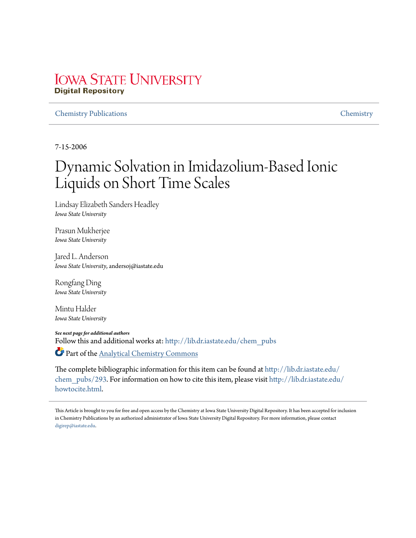# **IOWA STATE UNIVERSITY Digital Repository**

### Chemistry Publications Chemistry

7-15-2006

# Dynamic Solvation in Imidazolium-Based Ionic Liquids on Short Time Scales

Lindsay Elizabeth Sanders Headley *Iowa State University*

Prasun Mukherjee *Iowa State University*

Jared L. Anderson *Iowa State University*, andersoj@iastate.edu

Rongfang Ding *Iowa State University*

Mintu Halder *Iowa State University*

*See next page for additional authors* Follow this and additional works at: http://lib.dr.iastate.edu/chem\_pubs Part of the Analytical Chemistry Commons

The complete bibliographic information for this item can be found at http://lib.dr.iastate.edu/ chem\_pubs/293. For information on how to cite this item, please visit http://lib.dr.iastate.edu/ howtocite.html.

This Article is brought to you for free and open access by the Chemistry at Iowa State University Digital Repository. It has been accepted for inclusion in Chemistry Publications by an authorized administrator of Iowa State University Digital Repository. For more information, please contact digirep@iastate.edu.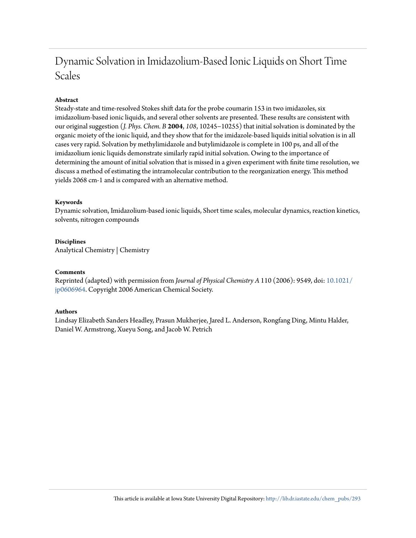# Dynamic Solvation in Imidazolium-Based Ionic Liquids on Short Time Scales

## **Abstract**

Steady-state and time-resolved Stokes shift data for the probe coumarin 153 in two imidazoles, six imidazolium-based ionic liquids, and several other solvents are presented. These results are consistent with our original suggestion (*J. Phys. Chem. B* **2004**, *108*, 10245−10255) that initial solvation is dominated by the organic moiety of the ionic liquid, and they show that for the imidazole-based liquids initial solvation is in all cases very rapid. Solvation by methylimidazole and butylimidazole is complete in 100 ps, and all of the imidazolium ionic liquids demonstrate similarly rapid initial solvation. Owing to the importance of determining the amount of initial solvation that is missed in a given experiment with finite time resolution, we discuss a method of estimating the intramolecular contribution to the reorganization energy. This method yields 2068 cm-1 and is compared with an alternative method.

### **Keywords**

Dynamic solvation, Imidazolium-based ionic liquids, Short time scales, molecular dynamics, reaction kinetics, solvents, nitrogen compounds

# **Disciplines**

Analytical Chemistry | Chemistry

#### **Comments**

Reprinted (adapted) with permission from *Journal of Physical Chemistry A* 110 (2006): 9549, doi: 10.1021/ jp0606964. Copyright 2006 American Chemical Society.

#### **Authors**

Lindsay Elizabeth Sanders Headley, Prasun Mukherjee, Jared L. Anderson, Rongfang Ding, Mintu Halder, Daniel W. Armstrong, Xueyu Song, and Jacob W. Petrich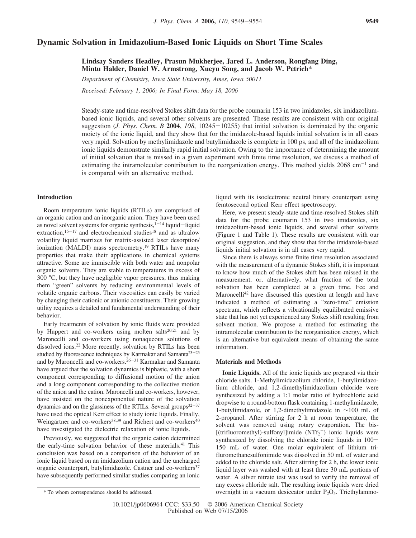#### **Dynamic Solvation in Imidazolium-Based Ionic Liquids on Short Time Scales**

**Lindsay Sanders Headley, Prasun Mukherjee, Jared L. Anderson, Rongfang Ding, Mintu Halder, Daniel W. Armstrong, Xueyu Song, and Jacob W. Petrich\***

*Department of Chemistry, Iowa State University, Ames, Iowa 50011 Recei*V*ed: February 1, 2006; In Final Form: May 18, 2006*

Steady-state and time-resolved Stokes shift data for the probe coumarin 153 in two imidazoles, six imidazoliumbased ionic liquids, and several other solvents are presented. These results are consistent with our original suggestion (*J. Phys. Chem. B* **2004**, *108*, 10245-10255) that initial solvation is dominated by the organic moiety of the ionic liquid, and they show that for the imidazole-based liquids initial solvation is in all cases very rapid. Solvation by methylimidazole and butylimidazole is complete in 100 ps, and all of the imidazolium ionic liquids demonstrate similarly rapid initial solvation. Owing to the importance of determining the amount of initial solvation that is missed in a given experiment with finite time resolution, we discuss a method of estimating the intramolecular contribution to the reorganization energy. This method yields  $2068 \text{ cm}^{-1}$  and is compared with an alternative method.

#### **Introduction**

Room temperature ionic liquids (RTILs) are comprised of an organic cation and an inorganic anion. They have been used as novel solvent systems for organic synthesis, $1-14$  liquid-liquid extraction,<sup>15-17</sup> and electrochemical studies<sup>18</sup> and as ultralow volatility liquid matrixes for matrix-assisted laser desorption/ ionization (MALDI) mass spectrometry.<sup>19</sup> RTILs have many properties that make their applications in chemical systems attractive. Some are immiscible with both water and nonpolar organic solvents. They are stable to temperatures in excess of 300 °C, but they have negligible vapor pressures, thus making them "green" solvents by reducing environmental levels of volatile organic carbons. Their viscosities can easily be varied by changing their cationic or anionic constituents. Their growing utility requires a detailed and fundamental understanding of their behavior.

Early treatments of solvation by ionic fluids were provided by Huppert and co-workers using molten salts $20,21$  and by Maroncelli and co-workers using nonaqueous solutions of dissolved ions.<sup>22</sup> More recently, solvation by RTILs has been studied by fluorescence techniques by Karmakar and Samanta<sup>23-25</sup> and by Maroncelli and co-workers.<sup>26-31</sup> Karmakar and Samanta have argued that the solvation dynamics is biphasic, with a short component corresponding to diffusional motion of the anion and a long component corresponding to the collective motion of the anion and the cation. Maroncelli and co-workers, however, have insisted on the nonexponential nature of the solvation dynamics and on the glassiness of the RTILs. Several groups $32-37$ have used the optical Kerr effect to study ionic liquids. Finally, Weingärtner and co-workers<sup>38,39</sup> and Richert and co-workers<sup>40</sup> have investigated the dielectric relaxation of ionic liquids.

Previously, we suggested that the organic cation determined the early-time solvation behavior of these materials.<sup>41</sup> This conclusion was based on a comparison of the behavior of an ionic liquid based on an imidazolium cation and the uncharged organic counterpart, butylimidazole. Castner and co-workers<sup>37</sup> have subsequently performed similar studies comparing an ionic

liquid with its isoelectronic neutral binary counterpart using femtosecond optical Kerr effect spectroscopy.

Here, we present steady-state and time-resolved Stokes shift data for the probe coumarin 153 in two imidazoles, six imidazolium-based ionic liquids, and several other solvents (Figure 1 and Table 1). These results are consistent with our original suggestion, and they show that for the imidazole-based liquids initial solvation is in all cases very rapid.

Since there is always some finite time resolution associated with the measurement of a dynamic Stokes shift, it is important to know how much of the Stokes shift has been missed in the measurement, or, alternatively, what fraction of the total solvation has been completed at a given time. Fee and Maroncelli<sup>42</sup> have discussed this question at length and have indicated a method of estimating a "zero-time" emission spectrum, which reflects a vibrationally equilibrated emissive state that has not yet experienced any Stokes shift resulting from solvent motion. We propose a method for estimating the intramolecular contribution to the reorganization energy, which is an alternative but equivalent means of obtaining the same information.

#### **Materials and Methods**

**Ionic Liquids.** All of the ionic liquids are prepared via their chloride salts. 1-Methylimidazolium chloride, 1-butylimidazolium chloride, and 1,2-dimethylimidazolium chloride were synthesized by adding a 1:1 molar ratio of hydrochloric acid dropwise to a round-bottom flask containing 1-methylimidazole, 1-butylimidazole, or 1,2-dimethylimidazole in ∼100 mL of 2-propanol. After stirring for 2 h at room temperature, the solvent was removed using rotary evaporation. The bis- [(trifluoromethyl)-sulfonyl]imide  $(NTf_2^-)$  ionic liquids were synthesized by dissolving the chloride ionic liquids in  $100-$ 150 mL of water. One molar equivalent of lithium trifluromethanesulfonimide was dissolved in 50 mL of water and added to the chloride salt. After stirring for 2 h, the lower ionic liquid layer was washed with at least three 30 mL portions of water. A silver nitrate test was used to verify the removal of any excess chloride salt. The resulting ionic liquids were dried \* To whom correspondence should be addressed. overnight in a vacuum desiccator under P2O5. Triethylammo-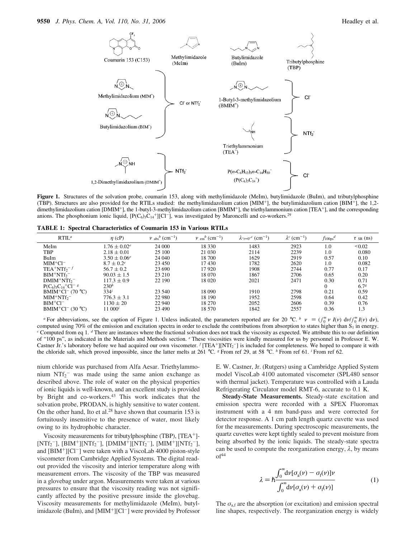

Figure 1. Structures of the solvation probe, coumarin 153, along with methylimidazole (MeIm), butylimidazole (BuIm), and tributylphosphine (TBP). Structures are also provided for the RTILs studied: the methylimidazolium cation [MIM<sup>+</sup>], the butylimidazolium cation [BIM<sup>+</sup>], the 1,2 dimethylimidazolium cation [DMIM<sup>+</sup>], the 1-butyl-3-methylimidazolium cation [BMIM<sup>+</sup>], the triethylammonium cation [TEA<sup>+</sup>], and the corresponding anions. The phosphonium ionic liquid,  $[PC_6)_3C_{14}^+][Cl^-]$ , was investigated by Maroncelli and co-workers.<sup>29</sup>

**TABLE 1: Spectral Characteristics of Coumarin 153 in Various RTILs**

| $RTIL^a$                                  | $\eta$ (cP)                  | $\langle \nu \rangle_{\rm abs}{}^{b}$ (cm <sup>-1</sup> ) | $\langle v \rangle_{\rm em}$ <sup>b</sup> (cm <sup>-1</sup> ) | $\lambda_{\nu}=0^{n}$ (cm <sup>-1</sup> ) | $\lambda^c$ (cm <sup>-1</sup> ) | $f_{100\text{ps}}^d$ | $\langle \tau \rangle_{\rm SR}$ (ns) |
|-------------------------------------------|------------------------------|-----------------------------------------------------------|---------------------------------------------------------------|-------------------------------------------|---------------------------------|----------------------|--------------------------------------|
| MeIm                                      | $1.76 \pm 0.02^e$            | 24 000                                                    | 18 3 3 0                                                      | 1483                                      | 2923                            | 1.0                  | ${}^{<0.02}$                         |
| TBP                                       | $2.18 \pm 0.01$              | 25 100                                                    | 21 030                                                        | 2114                                      | 2239                            | 1.0                  | 0.080                                |
| BuIm                                      | $3.50 \pm 0.06$ <sup>e</sup> | 24 040                                                    | 18 700                                                        | 1629                                      | 2919                            | 0.57                 | 0.10                                 |
| $MIM+C1^-$                                | $8.7 \pm 0.2^e$              | 23 450                                                    | 17430                                                         | 1782                                      | 2620                            | 1.0                  | 0.082                                |
| $TEA^+NTf_2^-f$                           | $56.7 \pm 0.2$               | 23 690                                                    | 17 9 20                                                       | 1908                                      | 2744                            | 0.77                 | 0.17                                 |
| $BIM^+NTf_2^-$                            | $90.03 \pm 1.5$              | 23 210                                                    | 18 070                                                        | 1867                                      | 2706                            | 0.65                 | 0.20                                 |
| $DMIM+NTf2$                               | $117.3 \pm 0.9$              | 22 190                                                    | 18 020                                                        | 2021                                      | 2471                            | 0.30                 | 0.71                                 |
| $P(C_6)_{3}C_{14}^{+}Cl^{-g}$             | 230 <sup>h</sup>             |                                                           |                                                               |                                           |                                 | 0                    | 6.7 <sup>g</sup>                     |
| $BMIM^+Cl^-$ (70 °C)                      | $334^{i}$                    | 23 540                                                    | 18 090                                                        | 1910                                      | 2798                            | 0.21                 | 0.59                                 |
| $MIM+NTf_2$                               | $776.3 \pm 3.1$              | 22 980                                                    | 18 190                                                        | 1952                                      | 2598                            | 0.64                 | 0.42                                 |
| $BIM+Cl-$                                 | $1130 \pm 20$                | 22 940                                                    | 18 270                                                        | 2052                                      | 2606                            | 0.39                 | 0.76                                 |
| BMIM <sup>+</sup> Cl <sup>-</sup> (30 °C) | $11\ 000^i$                  | 23 490                                                    | 18 570                                                        | 1842                                      | 2557                            | 0.36                 | 1.3                                  |

*a* For abbreviations, see the caption of Figure 1. Unless indicated, the parameters reported are for 20 °C.  $\frac{b}{v} \left\langle v \right\rangle = \left(\int_0^\infty v I(v) dv / \int_0^\infty I(v) dv\right)$ , computed using 70% of the emission and excitation spectra in order to exclude the contributions from absorption to states higher than  $S_1$  in energy. *<sup>c</sup>* Computed from eq 1. *<sup>d</sup>* There are instances where the fractional solvation does not track the viscosity as expected. We attribute this to our definition of "100 ps", as indicated in the Materials and Methods section. *<sup>e</sup>* These viscosities were kindly measured for us by personnel in Professor E. W. Castner Jr.'s laboratory before we had acquired our own viscometer. *f* [TEA<sup>+</sup>][NTf<sub>2</sub><sup>-</sup>] is included for completeness. We hoped to compare it with the chloride salt, which proved impossible, since the latter melts at 261 °C. *<sup>g</sup>* From ref 29, at 58 °C. *<sup>h</sup>* From ref 61. *<sup>i</sup>* From ref 62.

nium chloride was purchased from Alfa Aesar. Triethylammonium  $NTf_2$ <sup>-</sup> was made using the same anion exchange as described above. The role of water on the physical properties of ionic liquids is well-known, and an excellent study is provided by Bright and co-workers.<sup>43</sup> This work indicates that the solvation probe, PRODAN, is highly sensitive to water content. On the other hand, Ito et al. $28$  have shown that coumarin 153 is fortuitously insensitive to the presence of water, most likely owing to its hydrophobic character.

Viscosity measurements for tributylphosphine (TBP), [TEA<sup>+</sup>]-  $[NTf_2^-]$ ,  $[BIM^+][NTf_2^-]$ ,  $[DMIM^+][NTf_2^-]$ ,  $[MIM^+][NTf_2^-]$ , and  $[BIM^+][Cl^-]$  were taken with a ViscoLab 4000 piston-style viscometer from Cambridge Applied Systems. The digital readout provided the viscosity and interior temperature along with measurement errors. The viscosity of the TBP was measured in a glovebag under argon. Measurements were taken at various pressures to ensure that the viscosity reading was not significantly affected by the positive pressure inside the glovebag. Viscosity measurements for methylimidazole (MeIm), butylimidazole (BuIm), and  $[MIM^+][Cl^-]$  were provided by Professor E. W. Castner, Jr. (Rutgers) using a Cambridge Applied System model ViscoLab 4100 automated viscometer (SPL480 sensor with thermal jacket). Temperature was controlled with a Lauda Refrigerating Circulator model RMT-6, accurate to 0.1 K.

**Steady-State Measurements.** Steady-state excitation and emission spectra were recorded with a SPEX Fluoromax instrument with a 4 nm band-pass and were corrected for detector response. A 1 cm path length quartz cuvette was used for the measurements. During spectroscopic measurements, the quartz cuvettes were kept tightly sealed to prevent moisture from being absorbed by the ionic liquids. The steady-state spectra can be used to compute the reorganization energy,  $\lambda$ , by means  $of<sup>44</sup>$ 

$$
\lambda = \hbar \frac{\int_0^\infty d\nu [\sigma_a(\nu) - \sigma_f(\nu)]\nu}{\int_0^\infty d\nu [\sigma_a(\nu) + \sigma_f(\nu)]}
$$
\n(1)

The  $\sigma_{\text{af}}$  are the absorption (or excitation) and emission spectral line shapes, respectively. The reorganization energy is widely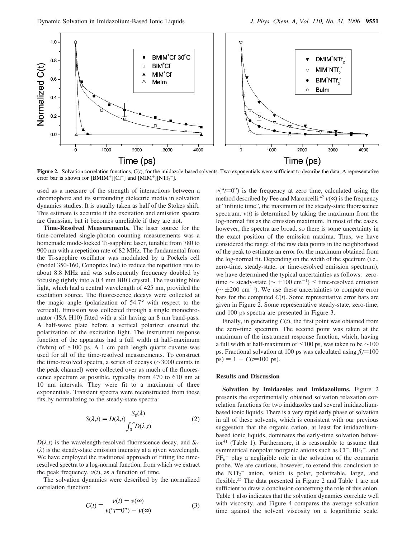

**Figure 2.** Solvation correlation functions, *C*(*t*), for the imidazole-based solvents. Two exponentials were sufficient to describe the data. A representative error bar is shown for  $[BMIM^+][Cl^-]$  and  $[MM^+][NTf_2^-]$ .

used as a measure of the strength of interactions between a chromophore and its surrounding dielectric media in solvation dynamics studies. It is usually taken as half of the Stokes shift. This estimate is accurate if the excitation and emission spectra are Gaussian, but it becomes unreliable if they are not.

**Time-Resolved Measurements.** The laser source for the time-correlated single-photon counting measurements was a homemade mode-locked Ti-sapphire laser, tunable from 780 to 900 nm with a repetition rate of 82 MHz. The fundamental from the Ti-sapphire oscillator was modulated by a Pockels cell (model 350-160, Conoptics Inc) to reduce the repetition rate to about 8.8 MHz and was subsequently frequency doubled by focusing tightly into a 0.4 mm BBO crystal. The resulting blue light, which had a central wavelength of 425 nm, provided the excitation source. The fluorescence decays were collected at the magic angle (polarization of 54.7° with respect to the vertical). Emission was collected through a single monochromator (ISA H10) fitted with a slit having an 8 nm band-pass. A half-wave plate before a vertical polarizer ensured the polarization of the excitation light. The instrument response function of the apparatus had a full width at half-maximum (fwhm) of  $\leq 100$  ps. A 1 cm path length quartz cuvette was used for all of the time-resolved measurements. To construct the time-resolved spectra, a series of decays (∼3000 counts in the peak channel) were collected over as much of the fluorescence spectrum as possible, typically from 470 to 610 nm at 10 nm intervals. They were fit to a maximum of three exponentials. Transient spectra were reconstructed from these fits by normalizing to the steady-state spectra:

$$
S(\lambda, t) = D(\lambda, t) \frac{S_0(\lambda)}{\int_0^\infty D(\lambda, t)}\tag{2}
$$

 $D(\lambda,t)$  is the wavelength-resolved fluorescence decay, and *S*<sub>0</sub>- $(\lambda)$  is the steady-state emission intensity at a given wavelength. We have employed the traditional approach of fitting the timeresolved spectra to a log-normal function, from which we extract the peak frequency,  $v(t)$ , as a function of time.

The solvation dynamics were described by the normalized correlation function:

$$
C(t) = \frac{\nu(t) - \nu(\infty)}{\nu(\r t = 0^{\gamma}) - \nu(\infty)}
$$
(3)

 $v("t=0")$  is the frequency at zero time, calculated using the method described by Fee and Maroncelli.<sup>42</sup>  $\nu(\infty)$  is the frequency at "infinite time", the maximum of the steady-state fluorescence spectrum.  $v(t)$  is determined by taking the maximum from the log-normal fits as the emission maximum. In most of the cases, however, the spectra are broad, so there is some uncertainty in the exact position of the emission maxima. Thus, we have considered the range of the raw data points in the neighborhood of the peak to estimate an error for the maximum obtained from the log-normal fit. Depending on the width of the spectrum (i.e., zero-time, steady-state, or time-resolved emission spectrum), we have determined the typical uncertainties as follows: zerotime  $\sim$  steady-state ( $\sim \pm 100 \text{ cm}^{-1}$ ) < time-resolved emission ( $\sim$  ±200 cm<sup>-1</sup>). We use these uncertainties to compute error bars for the computed  $C(t)$ . Some representative error bars are given in Figure 2. Some representative steady-state, zero-time, and 100 ps spectra are presented in Figure 3.

Finally, in generating *C*(*t*), the first point was obtained from the zero-time spectrum. The second point was taken at the maximum of the instrument response function, which, having a full width at half-maximum of ≤100 ps, was taken to be  $\sim$ 100 ps. Fractional solvation at 100 ps was calculated using  $f(t=100)$  $ps) = 1 - C(t=100 \text{ ps}).$ 

#### **Results and Discussion**

**Solvation by Imidazoles and Imidazoliums.** Figure 2 presents the experimentally obtained solvation relaxation correlation functions for two imidazoles and several imidazoliumbased ionic liquids. There is a very rapid early phase of solvation in all of these solvents, which is consistent with our previous suggestion that the organic cation, at least for imidazoliumbased ionic liquids, dominates the early-time solvation behavior<sup>41</sup> (Table 1). Furthermore, it is reasonable to assume that symmetrical nonpolar inorganic anions such as  $Cl^-$ ,  $BF_4^-$ , and PF<sub>6</sub><sup>-</sup> play a negligible role in the solvation of the coumarin probe. We are cautious, however, to extend this conclusion to the  $NTf_2^-$  anion, which is polar, polarizable, large, and flexible.<sup>35</sup> The data presented in Figure 2 and Table 1 are not sufficient to draw a conclusion concerning the role of this anion. Table 1 also indicates that the solvation dynamics correlate well with viscosity, and Figure 4 compares the average solvation time against the solvent viscosity on a logarithmic scale.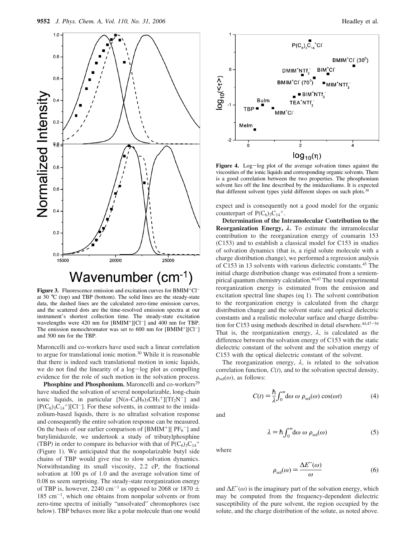

**Figure 3.** Fluorescence emission and excitation curves for BMIM<sup>+</sup>Cl<sup>-</sup> at 30 °C (top) and TBP (bottom). The solid lines are the steady-state data, the dashed lines are the calculated zero-time emission curves, and the scattered dots are the time-resolved emission spectra at our instrument's shortest collection time. The steady-state excitation wavelengths were  $420$  nm for  $[BMIM^+][Cl^-]$  and  $400$  nm for TBP. The emission monochromator was set to 600 nm for  $[BMIM^+][Cl^-]$ and 500 nm for the TBP.

Maroncelli and co-workers have used such a linear correlation to argue for translational ionic motion.<sup>30</sup> While it is reasonable that there is indeed such translational motion in ionic liquids, we do not find the linearity of a log-log plot as compelling evidence for the role of such motion in the solvation process.

Phosphine and Phosphonium. Maroncelli and co-workers<sup>29</sup> have studied the solvation of several nonpolarizable, long-chain ionic liquids, in particular  $[N(n-C_4H_9)_3CH_3^+][Tf_2N^-]$  and  $[P(C_6)_3C_{14}^+][Cl^-]$ . For these solvents, in contrast to the imidazolium-based liquids, there is no ultrafast solvation response and consequently the entire solvation response can be measured. On the basis of our earlier comparison of  $[BMIM^+]$  [ $PF_6^-$ ] and butylimidazole, we undertook a study of tributylphosphine (TBP) in order to compare its behavior with that of  $P(C_6)_{3}C_{14}^+$ (Figure 1). We anticipated that the nonpolarizable butyl side chains of TBP would give rise to slow solvation dynamics. Notwithstanding its small viscosity, 2.2 cP, the fractional solvation at 100 ps of 1.0 and the average solvation time of 0.08 ns seem surprising. The steady-state reorganization energy of TBP is, however, 2240 cm<sup>-1</sup> as opposed to 2068 or 1870  $\pm$ 185 cm-<sup>1</sup> , which one obtains from nonpolar solvents or from zero-time spectra of initially "unsolvated" chromophores (see below). TBP behaves more like a polar molecule than one would



Figure 4. Log-log plot of the average solvation times against the viscosities of the ionic liquids and corresponding organic solvents. There is a good correlation between the two properties. The phosphonium solvent lies off the line described by the imidazoliums. It is expected that different solvent types yield different slopes on such plots.<sup>30</sup>

expect and is consequently not a good model for the organic counterpart of  $P(C_6)_{3}C_{14}^+$ .

**Determination of the Intramolecular Contribution to the Reorganization Energy,** λ**.** To estimate the intramolecular contribution to the reorganization energy of coumarin 153 (C153) and to establish a classical model for C153 in studies of solvation dynamics (that is, a rigid solute molecule with a charge distribution change), we performed a regression analysis of C153 in 13 solvents with various dielectric constants.<sup>45</sup> The initial charge distribution change was estimated from a semiempirical quantum chemistry calculation.<sup>46,47</sup> The total experimental reorganization energy is estimated from the emission and excitation spectral line shapes (eq 1). The solvent contribution to the reorganization energy is calculated from the charge distribution change and the solvent static and optical dielectric constants and a realistic molecular surface and charge distribution for C153 using methods described in detail elsewhere.<sup>44,47-54</sup> That is, the reorganization energy,  $\lambda$ , is calculated as the difference between the solvation energy of C153 with the static dielectric constant of the solvent and the solvation energy of C153 with the optical dielectric constant of the solvent.

The reorganization energy,  $\lambda$ , is related to the solvation correlation function, *C*(*t*), and to the solvation spectral density,  $\rho_{sol}(\omega)$ , as follows:

$$
C(t) = \frac{\hbar}{\lambda} \int_0^\infty d\omega \, \omega \, \rho_{\text{sol}}(\omega) \cos(\omega t) \tag{4}
$$

and

$$
\lambda = \hbar \int_0^\infty d\omega \, \omega \, \rho_{sol}(\omega) \tag{5}
$$

where

$$
\rho_{sol}(\omega) = \frac{\Delta E''(\omega)}{\omega} \tag{6}
$$

and  $\Delta E''(\omega)$  is the imaginary part of the solvation energy, which may be computed from the frequency-dependent dielectric susceptibility of the pure solvent, the region occupied by the solute, and the charge distribution of the solute, as noted above.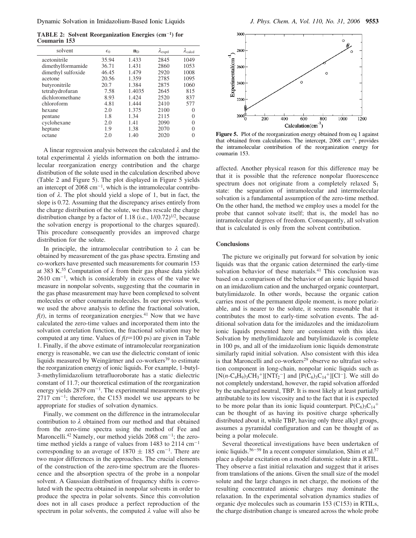**TABLE 2: Solvent Reorganization Energies (cm**-**<sup>1</sup> ) for Coumarin 153**

| solvent            | $\epsilon_0$ | $n_{D}$ | $\lambda_{\rm exptl}$ | $\lambda_{\rm{calcd}}$ |
|--------------------|--------------|---------|-----------------------|------------------------|
| acetonitrile       | 35.94        | 1.433   | 2845                  | 1049                   |
| dimethylformamide  | 36.71        | 1.431   | 2860                  | 1053                   |
| dimethyl sulfoxide | 46.45        | 1.479   | 2920                  | 1008                   |
| acetone            | 20.56        | 1.359   | 2785                  | 1095                   |
| butyronitrile      | 20.7         | 1.384   | 2875                  | 1060                   |
| tetrahydrofuran    | 7.58         | 1.4035  | 2645                  | 815                    |
| dichloromethane    | 8.93         | 1.424   | 2520                  | 837                    |
| chloroform         | 4.81         | 1.444   | 2410                  | 577                    |
| hexane             | 2.0          | 1.375   | 2100                  | 0                      |
| pentane            | 1.8          | 1.34    | 2115                  | 0                      |
| cyclohexane        | 2.0          | 1.41    | 2090                  | 0                      |
| heptane            | 1.9          | 1.38    | 2070                  | 0                      |
| octane             | 2.0          | 1.40    | 2020                  |                        |
|                    |              |         |                       |                        |

A linear regression analysis between the calculated  $\lambda$  and the total experimental  $\lambda$  yields information on both the intramolecular reorganization energy contribution and the charge distribution of the solute used in the calculation described above (Table 2 and Figure 5). The plot displayed in Figure 5 yields an intercept of  $2068 \text{ cm}^{-1}$ , which is the intramolecular contribution of  $\lambda$ . The plot should yield a slope of 1, but in fact, the slope is 0.72. Assuming that the discrepancy arises entirely from the charge distribution of the solute, we thus rescale the charge distribution change by a factor of 1.18 (i.e.,  $1/(0.72)^{1/2}$ , because the solvation energy is proportional to the charges squared). This procedure consequently provides an improved charge distribution for the solute.

In principle, the intramolecular contribution to  $\lambda$  can be obtained by measurement of the gas phase spectra. Ernsting and co-workers have presented such measurements for coumarin 153 at 383 K.<sup>55</sup> Computation of  $\lambda$  from their gas phase data yields  $2610 \text{ cm}^{-1}$ , which is considerably in excess of the value we measure in nonpolar solvents, suggesting that the coumarin in the gas phase measurement may have been complexed to solvent molecules or other coumarin molecules. In our previous work, we used the above analysis to define the fractional solvation,  $f(t)$ , in terms of reorganization energies.<sup>41</sup> Now that we have calculated the zero-time values and incorporated them into the solvation correlation function, the fractional solvation may be computed at any time. Values of  $f(t=100 \text{ ps})$  are given in Table 1. Finally, if the above estimate of intramolecular reorganization energy is reasonable, we can use the dielectric constant of ionic liquids measured by Weingärtner and co-workers<sup>39</sup> to estimate the reorganization energy of ionic liquids. For example, 1-butyl-3-methylimidazolium tetrafluoroborate has a static dielectric constant of 11.7; our theoretical estimation of the reorganization energy yields  $2879 \text{ cm}^{-1}$ . The experimental measurements give  $2717 \text{ cm}^{-1}$ ; therefore, the C153 model we use appears to be appropriate for studies of solvation dynamics.

Finally, we comment on the difference in the intramolecular contribution to  $\lambda$  obtained from our method and that obtained from the zero-time spectra using the method of Fee and Maroncelli.<sup>42</sup> Namely, our method yields 2068 cm<sup>-1</sup>; the zerotime method yields a range of values from  $1483$  to  $2114 \text{ cm}^{-1}$ corresponding to an average of  $1870 \pm 185$  cm<sup>-1</sup>. There are two major differences in the approaches. The crucial elements of the construction of the zero-time spectrum are the fluorescence and the absorption spectra of the probe in a nonpolar solvent. A Gaussian distribution of frequency shifts is convoluted with the spectra obtained in nonpolar solvents in order to produce the spectra in polar solvents. Since this convolution does not in all cases produce a perfect reproduction of the spectrum in polar solvents, the computed  $\lambda$  value will also be



Figure 5. Plot of the reorganization energy obtained from eq 1 against that obtained from calculations. The intercept,  $2068 \text{ cm}^{-1}$ , provides the intramolecular contribution of the reorganization energy for coumarin 153.

affected. Another physical reason for this difference may be that it is possible that the reference nonpolar fluorescence spectrum does not originate from a completely relaxed  $S_1$ state: the separation of intramolecular and intermolecular solvation is a fundamental assumption of the zero-time method. On the other hand, the method we employ uses a model for the probe that cannot solvate itself; that is, the model has no intramolecular degrees of freedom. Consequently, all solvation that is calculated is only from the solvent contribution.

#### **Conclusions**

The picture we originally put forward for solvation by ionic liquids was that the organic cation determined the early-time solvation behavior of these materials.<sup>41</sup> This conclusion was based on a comparison of the behavior of an ionic liquid based on an imidazolium cation and the uncharged organic counterpart, butylimidazole. In other words, because the organic cation carries most of the permanent dipole moment, is more polarizable, and is nearer to the solute, it seems reasonable that it contributes the most to early-time solvation events. The additional solvation data for the imidazoles and the imidazolium ionic liquids presented here are consistent with this idea. Solvation by methylimidazole and butylimidazole is complete in 100 ps, and all of the imidazolium ionic liquids demonstrate similarly rapid initial solvation. Also consistent with this idea is that Maroncelli and co-workers<sup>29</sup> observe no ultrafast solvation component in long-chain, nonpolar ionic liquids such as  $[N(n-C_4H_9)_3CH_3^+][NTf_2^-]$  and  $[P(C_6)_3C_{14}^+][Cl^-]$ . We still do not completely understand, however, the rapid solvation afforded by the uncharged neutral, TBP. It is most likely at least partially attributable to its low viscosity and to the fact that it is expected to be more polar than its ionic liquid counterpart.  $P(C_6)_{3}C_{14}^+$ can be thought of as having its positive charge spherically distributed about it, while TBP, having only three alkyl groups, assumes a pyramidal configuration and can be thought of as being a polar molecule.

Several theoretical investigations have been undertaken of ionic liquids.<sup>56-59</sup> In a recent computer simulation, Shim et al.<sup>57</sup> place a dipolar excitation on a model diatomic solute in a RTIL. They observe a fast initial relaxation and suggest that it arises from translations of the anions. Given the small size of the model solute and the large changes in net charge, the motions of the resulting concentrated anionic charges may dominate the relaxation. In the experimental solvation dynamics studies of organic dye molecules such as coumarin 153 (C153) in RTILs, the charge distribution change is smeared across the whole probe